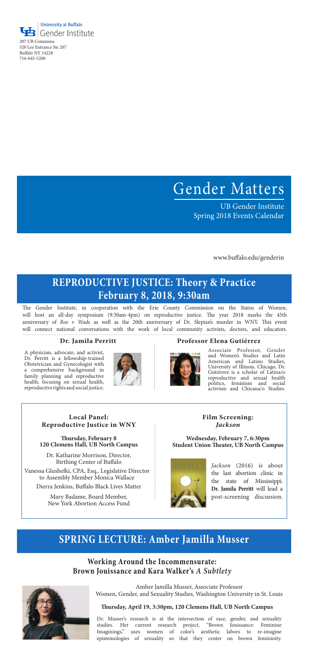## **REPRODUCTIVE JUSTICE: Theory & Practice February 8, 2018, 9:30am**

### **Working Around the Incommensurate: Brown Jouissance and Kara Walker's** *A Subtlety*



The Gender Institute, in cooperation with the Erie County Commission on the Status of Women, will host an all-day symposium (9:30am-4pm) on reproductive justice. The year 2018 marks the 45th anniversary of *Roe v Wade* as well as the 20th anniversary of Dr. Slepian's murder in WNY. This event will connect national conversations with the work of local community activists, doctors, and educators.

#### **Dr. Jamila Perritt Professor Elena Gutiérrez**



A physician, advocate, and activist, Dr. Perritt is a fellowship-trained Obstetrician and Gynecologist with a comprehensive background in family planning and reproductive health, focusing on sexual health, reproductive rights and social justice.



Associate Professor, Gender and Women's Studies and Latin American and Latino Studies, University of Illinois, Chicago, Dr. Gutiérrez is a scholar of Latina/o reproductive and sexual health politics, feminism and social activism and Chicana/o Studies.

## **SPRING LECTURE: Amber Jamilla Musser**



207 UB Commons 520 Lee Entrance Ste 207 Buffalo NY 14228 716-645-5200

> **Local Panel: Reproductive Justice in WNY**

Dr. Katharine Morrison, Director, Birthing Center of Buffalo

#### **Thursday, April 19, 3:30pm, 120 Clemens Hall, UB North Campus**

**Film Screening:**  *Jackson* 

#### **Wednesday, February 7, 6:30pm Student Union Theater, UB North Campus**



*Jackson* (2016) is about the last abortion clinic in the state of Mississippi. **Dr. Jamila Perritt** will lead a post-screening discussion.

Dr. Musser's research is at the intersection of race, gender, and sexuality studies. Her current research project, "Brown Jouissance: Feminine Imaginings," uses women of color's aesthetic labors to re-imagine epistemologies of sexuality so that they center on brown femininity.

### **Thursday, February 8 120 Clemens Hall, UB North Campus**

Amber Jamilla Musser, Associate Professor Women, Gender, and Sexuality Studies, Washington University in St. Louis

# Gender Matters

UB Gender Institute Spring 2018 Events Calendar

www.buffalo.edu/genderin

Vanessa Glushefki, CPA, Esq., Legislative Director to Assembly Member Monica Wallace

> Mary Badame, Board Member, New York Abortion Access Fund

Dierra Jenkins, Buffalo Black Lives Matter